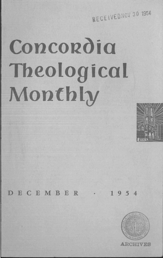RECEIVEDNOY 30 1954

# **Concordia Theological Monthly**



## DECEMBER · 1954

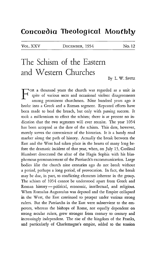## Concordia Theological Monthly

VOL. XXV DECEMBER, 1954

No. 12

# The Schism of the Eastern. and Western Churches

By L. W. SPITZ

FOR a thousand years the church was regarded as a unit in *spite* of various sects and occasional violent disagreements among prominent churchmen. Nine hundred years ago it broke into a Greek and a Roman segment. Repeated efforts have been made to heal the breach, but only with passing success. It took a millennium to effect the schism; there is at present no indication that the two segments will ever reunite. The year 1054 has been accepted as the date of the schism. This date, however, merely serves the convenience of the historian. It is a handy road marker along the path of history. Actually the break between the East and the West had taken place in the hearts of many long before the dramatic incident of that year, when, on July 13, Cardinal Humbert desecrated the altar of the Hagia Sophia with his blasphemous pronouncement of the Patriarch's excommunication. Large bodies *like* the church nine centuries ago do not break without a period, perhaps a long period, of provocation. In fact, the break may be due, in part, to conflicting elements inherent in the group. The schism of 1054 cannot be understood apart from Greek and Roman history — political, economic, intellectual, and religious. When Romulus Augustulus was deposed and the Empire collapsed in the West, the East continued to prosper under various strong rulers. But the Patriarchs in the East were subservient to the emperors, whereas the bishops of Rome, not equally dependent on strong secular rulers, grew stronger from century to century and increasingly independent. The rise of the kingdom of the Franks, and particularly of Charlemagne's empire, added to the tension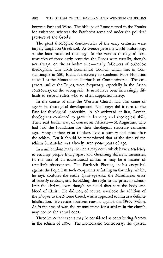between East and West. The bishops of Rome turned to the Franks for assistance, whereas the Patriarchs remained under the political pressure of the Greeks.

The great theological controversies of the early centuries were largely fought on Greek soil. As Greece gave the world philosophy, so she later produced theology. In the various theological controversies of those early centuties the Popes were usually, though not always, on the orthodox side - ready followers of orthodox theologians. The Sixth Ecumenical Council, which met in Constantinople in 680, found it necessary to condemn Pope Honorius as well as the Monothelete Patriarch of Constantinople. The emperors, unlike the Popes, were frequently, especially in the Arian controversy, on the wrong side. It must have been increasingly difficult to respect rulers who so often supported heresy.

In the course of time the Western Church had also come of age in its theological development. No longer did it turn to the East for theological leadership. A bit awkward at first, Roman theologians continued to grow in learning and theological skill. Their real leader was, of course, an African - St. Augustine, who had laid the foundation for their theological structure centuries ago. Many of their great thinkers lived a century and more after the schism. But it should be remembered that at the time of the schism St. Anselm was already twenty-one years of age.

In a millennium many incidents may occur which have a tendency to estrange people living apart and cherishing different memories. In the case of an ecclesiastical schism it may be a matter of ritualistic observances. The Patriarch Photius, in his encyclical against the Pope, lists such complaints as fasting on Saturday, which, he says, confuses the entire *Quadragesima,* the Manichaean error of priestly celibacy, and forbidding the right to the priest to administer the chrism, even though he could distribute the body and blood of Christ. He did not, of course, overlook the addition of the *filioque* to the Nicene Creed, which appeared to him as a definite falsification. He recites fourteen reasons against this doeos  $\gamma$ vώμη. As in the case of war, the reasons stated for a schism in the church may not be the actual ones.

Three important events may be considered as contributing factors in the schism of 1054. The Iconoclastic Controversy, the quarrel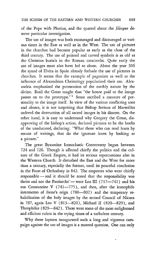of the Pope with Photius, and the quarrel about the *filioque* deserve particular investigation.

The use of images was both encouraged and discouraged at various times in the East as well as in the West. The use of pictures in the churches had become popular as early as the close of the third century. The use of painted and carved symbols is as old as the Christian burials in the Roman catacombs. Quite early the use of images must also have led to abuse. About the year 306 the synod of Elvira in Spain already forbade the use of pictures in churches. It seems that the example of paganism as well as the influence of Alexandrian Christology popularized their use. Alexandria emphasized the permeation of the earthly nature by the divine. Basil the Great taught that "the honor paid to the image passes on to the prototype."<sup>1</sup> Some ascribed a measure of personality to the image itself. In view of the various conflicting uses and abuses, it is not surprising that Bishop Serinus of Marseilles ordered the destmction of all sacred images in his diocese. On the other hand, it is easy to understand why Gregory the Great, disapproving of the bishop's action, declared pictures to be the books of the uneducated, declaring: "What those who can read learn by means of writings, that do the ignorant learn by looking at a picture."

The great Byzantine Iconoclastic Controversy began between 724 and 726. Though it affected chiefly the politics and the culture of the Greek Empire, it had its serious repercussions also in the Western Church. It disturbed the East and the West for more than a century, especially the former, until its peaceful conclusion in the Feast of Orthodoxy in 842. The emperors who were chiefly responsible - and it should be noted that the responsibility was theirs and not the Patriarchs' - were Leo III  $(717-741)$  and his son Constantine V  $(741-775)$ , and then, after the iconophile intermezzo of Irene's reign (780-802) and the temporary rehabilitation of the holy images by the second Council of Nicaea in 787, again Leo V (813-820), Michael II (820-829), and Theophilus (829-842). These were some of the most enlightened and efficient rulers in the trying times of a turbulent century.

Why these laymen inaugurated such a long and vigorous campaign against the use of images is a mooted question. One can only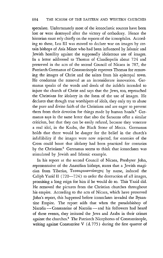speculate. Unfortunately most of the iconoclastic sources have been lost or were destroyed after the victory of orthodoxy. Hence the historian must rely chiefly on the reports of the iconophiles. According to these, Leo III was moved to declare war on images by certain bishops of Asia Minor who had been influenced by Islamic and Jewish hostility against the supposedly idolatrous use of images. In a letter addressed to Thomas of Claudiopolis about 724 and preserved in the acts of the second Council of Nicaea in 787, the Patriarch Germanus of Constantinople reproves Thomas for removing the images of Christ and the saints from his episcopal town. He condemns the removal as an inconsiderate innovation. Germanus speaks of the words and deeds of the infidels intended to injure the church of Christ and says that the Jews, too, reproached the Christians for idolatry in the form of the use of images. He declares that though true worshipers of idols, they only try to abuse the pure and divine faith of the Christians and are eager to prevent them from their devotion for things made by human hands.<sup>2</sup> Germanus says in the same letter that also the Saracens offer a similar criticism, but that they can be easily refuted, because they venerate a real idol, in the Kaaba, the Black Stone of Mecca. Germanus holds that there would be danger for the belief in the church's infallibility if the images were now rejected, for enemies of the Cross could boast that idolatry had been practiced for centuries by the Christians.<sup>3</sup> Germanus seems to think that iconoclasm was stimulated by Jewish and Islamic example.

In his report at the second Council of Nicaea, Presbyter John, representative of the Anatolian bishops, states that a Jewish magician from Tiberias, Τεσσαρακοντάπηχυς by name, induced the Caliph Yazid II (720-724) to order the destruction of all images, promising a long reign for him if he would do so. *This* Yazid did. He removed the pictures from the Christian churches throughout his empire. According to the acts of Nicaea, which have preserved John's report, this happened before iconoclasm invaded the Byzantine Empire. The report adds that when the pseudobishop of Nacolia-Constantine of Nacolia-and his followers had heard of these events, they imitated the Jews and Arabs in their crimes against the churches.4 The Patriarch Nicephorus of Constantinople, writing against Constantine V (d. 775) during the first quarter of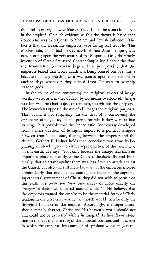the ninth century, likewise blames Yazid II for the iconoclastic evil in the empire.<sup>5</sup> On such evidence as this the theory is based that iconoclasm was in response to Moslem and Jewish influence. The fact is that the Byzantine emperors were facing real trouble. The Moslem tide, which had flooded much of their Asiatic empire, was now beating upon the very shores of the Bosporus. Only the timely invention of Greek fire saved Constantinople itself about the time the Iconoclastic Controversy began. It is just possible that the emperors feared that God's wrath was being poured out over them because of image worship, as it was poured upon the Israelites in ancient days whenever they turned from Jehovah to worship strange gods.

In the course of the controversy the religious aspects of image worship were, as a matter of fact, by no means overlooked. Image worship was the chief object of criticism, though not the only one. The iconoclasts opposed the use of all images for religious purposes. This, again, is not surprising. In the heat of a controversy the opponents often go beyond the points for which they were at first striving. It is possible that the Iconoclastic Controversy developed from a mere question of liturgical import to a political struggle between church and state, that is, between the emperor and the church. Gerhart B. Ladner holds that iconoclasm was from its beginning an attack upon the visible representation of the *civitas Dei*  on this earth. He says: "Not only because the images had such an important place in the Byzantine Church, theologically and liturgically, that an attack against them was *ipso facto* an attack against the Church but also and still more because ... the emperors showed unmistakably that even in maintaining the belief in the supreme, supernatural government of Christ, they did not wish to permit on this earth *any other but their own image* or more exactly the imagery of their own imperial natural world."<sup>6</sup> He believes that the emperors wanted the empire to be the material form of Christendom in the terrestrial world; the church would then be only the liturgical function of the empire. Accordingly, the supernatural should remain abstract, Christ and His heavenly world should not and could not be expressed visibly in images.<sup>7</sup> Ladner draws attention to the fact that stressing of the imperial portraits and of scenes in which the emperor, his court, or his profane world in general,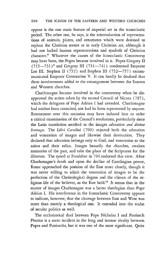appear is the one main feature of imperial art in the iconoclastic period. The other one, he says, is the reintroduction of representations of animals, plants, and ornaments which were destined to replace the Christian scenes as in early Christian art, although it had not lacked human representations and symbols of Christian character.<sup>8</sup> Whatever the causes of the Iconoclastic Controversy may have been, the Popes became involved in it. Popes Gregory II  $(715-731)^9$  and Gregory III (731-741) condemned Emperor Leo III. Stephen II (752) and Stephen III (752-757) excommunicated Emperor Constantine V. It can hardly be doubted that these involvements added to the estrangement between the Eastern and Western churches.

Charlemagne became involved in the controversy when he disapproved the action taken by the second Council of Nicaea (787), which the delegates of Pope Adrian I had attended. Charlemagne had neither been consulted, nor had he been represented by anyone. Resentment over this omission may have induced him to order a critical examination of the Council's resolutions, particularly since the Latin translation ascribed to the images *adoration and divine homage.* The *Libri Carolini* (790) rejected both the adoration and veneration of images and likewise their destruction. They declared that adoration belongs only to God, and veneration to the saints and their relics. Images beautify the churches, awaken memories of the past, and take the place of the Scriptures for the illiterate. The synod at Frankfort in 794 endorsed this view. After Charlemagne's death and upon the decline of Carolingian power, Rome approached the position of the East more closely, though it was never willing to admit the veneration of images to be the perfection of the Christological dogma and the climax of the religious life of the believer, as the East held.<sup>10</sup> It seems that in the matter of images Charlemagne was a better theologian than Pope Adrian I. His interference in the Iconoclastic Controversy appears to indicate, however, that the cleavage between East and West was more than merely a theological one. It extended into the realm of secular politics as well.

The ecclesiastical duel between Pope Nicholas I and Patriarch Photius is a mere incident in the long and intense rivalry between Popes and Patriarchs, but it was one of the most significant. Quite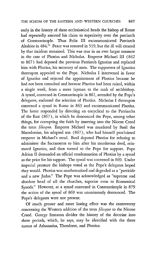early in the history of these ecclesiastical heads the bishop of Rome had repeatedly asserted his claim to superiority over the patriarch of Constantinople. Thus Felix III excommunicated Patriarch Akakios in 484.11 Peace was restored in 519, but the ill will created by that incident remained. This was true in an ever larger measure in the case of Photius and Nicholas. Emperor Michael III (842 to 867) had deposed the previous Patriarch Ignatius and replaced him with Photius, his secretary of state. The supporters of Ignatius thereupon appealed to the Pope. Nicholas I intervened in favor of Ignatius and rejected the appointment of Photius because he had not been consulted and because Photius had been raised, within a single week, from a mere layman to the rank of archbishop. A synod, convened in Constantinople in 861, attended by the Pope's delegates, endorsed the selection of Photius. Nicholas I thereupon convened a synod in Rome in 863 and excommunicated Photius. The latter responded by directing an encyclical to the Patriarchs of the East (867), in which he denounced the Pope, among other things, for corrupting the faith by inserting into the Nicene Creed the term *filioque.* Emperor Michael was murdered by Basil the Macedonian, his adopted son (867), who had himself proclaimed emperor in Michael's stead. Basil deposed Photius for refusing to administer the Sacraments to him after his murderous deed, reinstated Ignatius, and then turned to the Pope for support. Pope Adrian II demanded an official condemnation of Photius by a synod as the price for his support. The synod was convened in 869. Under imperial pressure the bishops voted as the Pope's delegates hoped they would. Photius was anathematized and degraded as a "patricide and a new Judas." The Pope was acknowledged as "supreme and absolute head of all the churches, superior even to Ecumenical Synods." However, at a synod convened in Constantinople in 879 the action of the synod of 869 was unanimously denounced. The Pope's delegates were not present.

Of much greater and more lasting effect was the controversy concerning the Western addition of the term *filioque* to the Nicene Creed. George Smeaton divides the history of the doctrine into three periods, which, he says, may be identified with the three names of Athanasius, Theodoret, and Photius.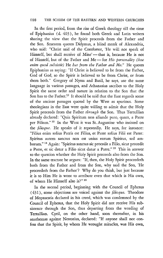In the first period, from the rise of Greek theology till the time of Epiphanius (d. 403), he found both Greek and Latin writers sharing the view that the Spirit proceeds from the Father and the Son. Smeaton quotes Didymus, a blind monk of Alexandria, who said: "Christ said of the Comforter, 'He will not speak of Himself, but shall receive of Mine' - that is, because He is not of Himself, but of the Father and Me-for *His personality (hoc enim quod subsistit)* He *has from the Father and Me."* He quotes Epiphanius as saying: "If Christ is believed to be from the Father, God of God, so the Spirit is believed to be from Christ, or from them both." Gregory of Nyssa and Basil, he says, use the same language in various passages, and Athanasius ascribes to the Holy Spirit the same order and nature in relation to the Son that the Son has to the Father.<sup>12</sup> It should be said that the East regards some of the ancient passages quoted by the West as spurious. Some theologians in the East were quite willing to admit that the Holy Spirit proceeds from the Father *through* the Son. Thus Tertullian already declared: "Quia Spiritum non aliunde puto, quam, a Patre per Filium." 13 In the West it was St. Augustine who insisted on the *filioque*. He speaks of it repeatedly. He says, for instance: "Filius enim solius Patris est Filius, et Pater solius Filii est Pater: Spiritus autem sanctus non est unius eorum Spiritus, sed amborum." 14 Again: "Spiritus sanctus sic procedit a Filio, sicut procedit a Patre, et sic detur a Filio sicut datur a Patre." 15 This in answer to the question whether the Holy Spirit proceeds also from the Son. In the same tractate he argues: "If, then, the Holy Spirit proceedeth both from the Father and from the Son, why said the Son, 'He proceedeth from the Father'? Why do you think, but just because it is to Him He is wont to attribute even that which *is* His own, of whom He Himself also is?" 16

In the second period, beginning with the Council of Ephesus ( 431 ), some objections are voiced against the *filioque.* Theodore of Mopsuestia declared in his creed, which was condemned by the Council of Ephesus, that the Holy Spirit did not receive His subsistence through the Son, thus departing from the wording of Tertullian. Cyril, on the other hand, soon thereafter, in his anathemas against Nestorius, declared: "If anyone shall not confess that the Spirit, by whom He wrought miracles, was His own,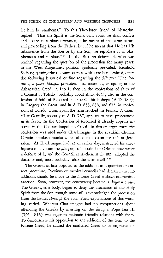let him be anathema." To this Theodoret, friend of Nestorius, replied: "That the Spirit is the Son's own Spirit we shall confess and accept as a pious utterance, if he meant of the same nature and proceeding from the Father; but if he meant that He has His subsistence from the Son or by the Son, we repudiate it as blasphemous and impious." 17 In the East no definite decision was reached regarding the question of the procession for many years; in the West Augustine's position gradually prevailed. Reinhold Seeberg, quoting the relevant sources, which are here omitted, offers the following historical outline regarding the *filioque:* "The formula, *a patre filioque pro cedens* first meets us, excepting in the Athanasian Creed, in Leo I; then in the confessions of faith of a Council at Toledo (probably about A. D. 444); also in the confession of faith of Reccared and the Gothic bishops (A. D. 589); in Gregory the Great; and in A. D. 633, 638, and 675, in confessions of Toledo. From Spain the term reached the Franks. A Council at Gentilly, so early as A. D. 767, appears to have pronounced in its favor. In the Confession of Reccared it already appears inserted in the Constantinopolitan Creed. In this enlarged form the confession was used under Charlemagne in the Frankish Church. Certain Frankish monks were called to account for this at Jerusalem. As Charlemagne had, at an earlier day, instructed his theologians to advocate the *filioque,* so Theodulf of Orleans now wrote a defense of it, and the Council at Aachen, A. D. 809, adopted the doctrine and, most probably, also the term itself." 18

The Greeks at first objected to the addition as a question of correct procedure. Previous ecumenical councils had declared that no additions should be made to the Nicene Creed without ecumenical sanction. Soon, however, the controversy became a dogmatic one. The Greeks, as a body, began to deny the procession of the Holy Spirit from the Son, though some still acknowledged the procession from the Father *through* the Son. Their explanations of this wording varied. Whereas Charlemagne had no compunctions about offending the Greeks by insisting on the *filioque,* Pope Leo III (795-816) was eager to maintain friendly relations with them. To demonstrate his opposition to the addition of the term to the Nicene Creed, he caused the unaltered Creed to be engraved on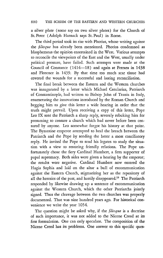### 890 THE SCHISM OF THE EASTERN AND WESTERN CHURCHES

a silver plate (some say on two silver plates) for the Church of St. Peter (Adolph Harnack says St. Paul) in Rome.

The third period took its rise with Photius, whose writing against the *filioque* has already been mentioned. Photius condemned as blasphemous the opinion entertained in the West. Various attempts to reconcile the viewpoints of the East and the West, usually under political pressure, have failed. Such attempts were made at the Council of Constance (1414-18) and again at Ferrara in 1438 and Florence in 1439. By that time too much scar tissue had covered the wounds for a successful and lasting reconciliation.

The final break between the Eastern and the Western churches was inaugurated by a letter which Michael Cerularius, Patriarch of Constantinople, had written to Bishop John of Trania in Italy, enumerating the innovations introduced by the Roman Church and begging him to give this letter a wide hearing in order that the truth might prevail. Upon receiving a copy of this letter, Pope Leo IX sent the Patriarch a sharp reply, severely rebuking him for presuming to censure a church which had never before been censured by anyone. Leo somewhat forgot his history at that point. The Byzantine emperor attempted to heal the breach between the Patriarch and the Pope by sending the latter a most conciliatory reply. He invited the Pope to send his legates to study the situation with a view to restoring friendly relations. The Pope unfortunately chose the fiery Cardinal Humbert, a firm supporter of papal supremacy. Both sides were given a hearing by the emperor; the results were negative. Cardinal Humbert now entered the Hagia Sophia and laid on the altar a bull of excommunication against the Eastern Church, stigmatizing her as the repository of all the heresies of the past, and hastily disappeared.19 The Patriarch responded by likewise drawing up a sentence of excommunication against the Western Church, which the other Patriarchs jointly signed. Thus the cleavage between the two churches was properly documented. That was nine hundred years ago. For historical convenience we write the year 1054.

The question might be asked why, if the *filioque* is a doctrine of such importance, it was not added to the Nicene Creed at its first formulation. One can only speculate. The composition of the Nicene Creed has its problems. One answer to this specific ques-